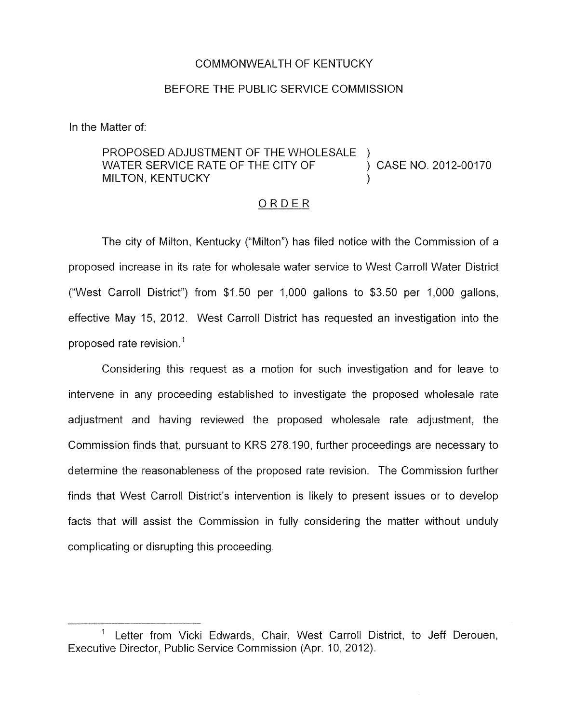### COMMONWEALTH OF KENTUCKY

### BEFORE THE PUBLIC SERVICE COMMISSION

In the Matter of:

### PROPOSED ADJUSTMENT OF THE WHOLESALE )<br>WATER SERVICE RATE OF THE CITY OF  $\qquad \qquad$  ) CASE NO. 2012-00170 WATER SERVICE RATE OF THE CITY OF **MILTON, KENTUCKY**

### ORDER

The city of Milton, Kentucky ("Milton") has filed notice with the Commission of a proposed increase in its rate for wholesale water service to West Carroll Water District ("West Carroll District") from \$1.50 per 1,000 gallons to \$3.50 per 1,000 gallons, effective May 15, 2012. West Carroll District has requested an investigation into the proposed rate revision.'

Considering this request as a motion for such investigation and for leave to intervene in any proceeding established to investigate the proposed wholesale rate adjustment and having reviewed the proposed wholesale rate adjustment, the Commission finds that, pursuant to KRS 278.190, further proceedings are necessary to determine the reasonableness of the proposed rate revision. The Commission further finds that West Carroll District's intervention is likely to present issues or to develop facts that will assist the Commission in fully considering the matter without unduly complicating or disrupting this proceeding.

<sup>&</sup>lt;sup>1</sup> Letter from Vicki Edwards, Chair, West Carroll District, to Jeff Derouen, Executive Director, Public Service Commission (Apr. IO, 2012).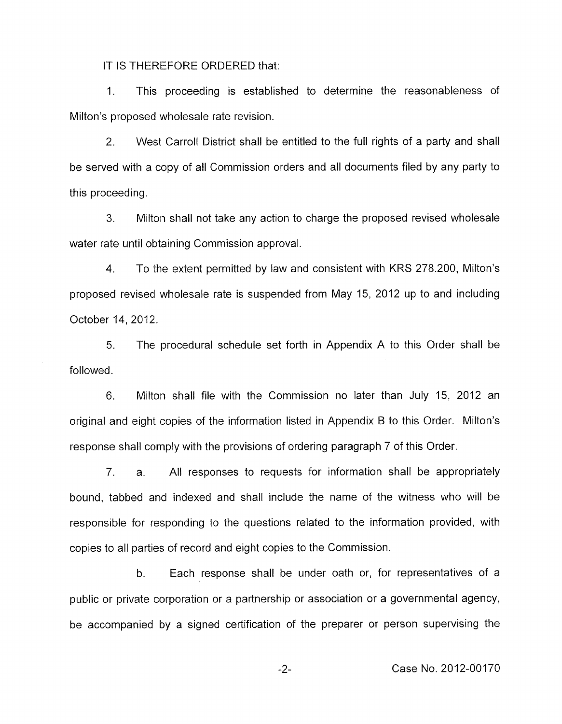IT IS THEREFORE ORDERED that:

1. This proceeding is established to determine the reasonableness of Milton's proposed wholesale rate revision.

2. West Carroll District shall be entitled to the full rights of a party and shall be served with a copy of all Commission orders and all documents filed by any party to this proceeding.

**3.** Milton shall not take any action to charge the proposed revised wholesale water rate until obtaining Commission approval.

**4.** To the extent permitted by law and consistent with KRS 278.200, Milton's proposed revised wholesale rate is suspended from May 15, 2012 up to and including October 14, 2012.

5. followed. The procedural schedule set forth in Appendix A to this Order shall be

6. Milton shall file with the Commission no later than July 15, 2012 an original and eight copies of the information listed in Appendix B to this Order. Milton's response shall comply with the provisions of ordering paragraph 7 of this Order.

7. a. All responses to requests for information shall be appropriately bound, tabbed and indexed and shall include the name of the witness who will be responsible for responding to the questions related to the information provided, with copies to all parties of record and eight copies to the Commission.

b. Each response shall be under oath or, for representatives of a public or private corporation or a partnership or association or a governmental agency, be accompanied by a signed certification of the preparer or person supervising the

-2- Case No. 2012-00170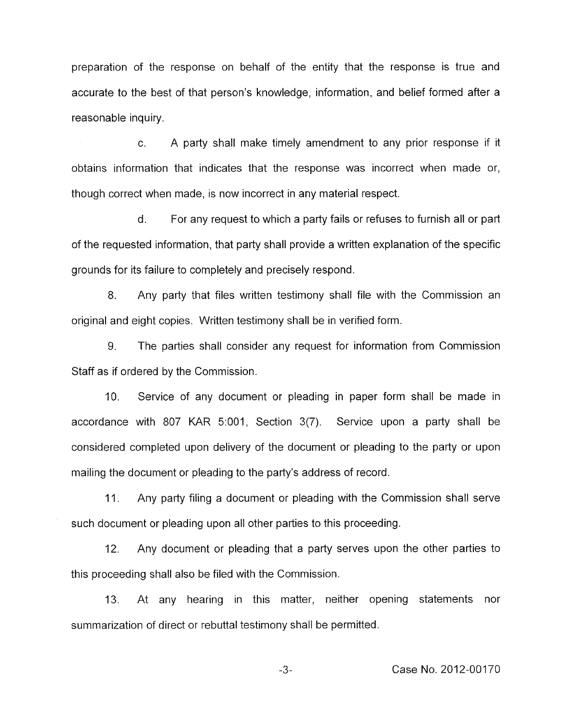preparation of the response on behalf of the entity that the response is true and accurate to the best of that person's knowledge, information, and belief formed after a reasonable inquiry.

c. A party shall make timely amendment to any prior response if it obtains information that indicates that the response was incorrect when made or, though correct when made, is now incorrect in any material respect.

d. For any request to which a party fails or refuses to furnish all or part of the requested information, that party shall provide a written explanation of the specific grounds for its failure to completely and precisely respond.

8. Any party that files written testimony shall file with the Commission an original and eight copies. Written testimony shall be in verified form.

9. The parties shall consider any request for information from Commission Staff as if ordered by the Commission.

IO. Service of any document or pleading in paper form shall be made in accordance with 807 KAR 5:001, Section 3(7). Service upon a party shall be considered completed upon delivery of the document or pleading to the party or upon mailing the document or pleading to the party's address of record.

11. Any party filing a document or pleading with the Commission shall serve such document or pleading upon all other parties to this proceeding.

12. Any document or pleading that a party serves upon the other parties to this proceeding shall also be filed with the Commission.

13. At any hearing in this matter, neither opening statements nor summarization of direct or rebuttal testimony shall be permitted.

*-3-* Case No. 2012-00170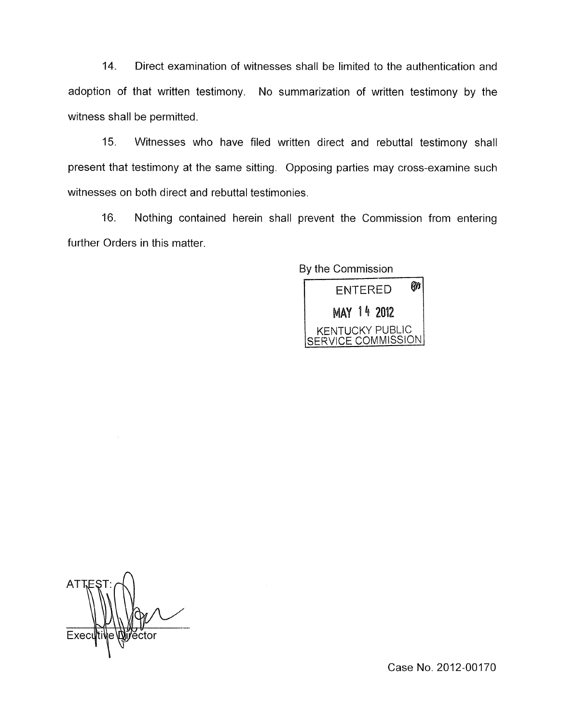14. Direct examination of witnesses shall be limited to the authentication and adoption of that written testimony. No summarization of written testimony by the witness shall be permitted.

15. Witnesses who have filed written direct and rebuttal testimony shall present that testimony at the same sitting. Opposing parties may cross-examine such witnesses on both direct and rebuttal testimonies.

16. Nothing contained herein shall prevent the Commission from entering further Orders in this matter.

By the Commission



**ATT** 

Case No. 2012-00170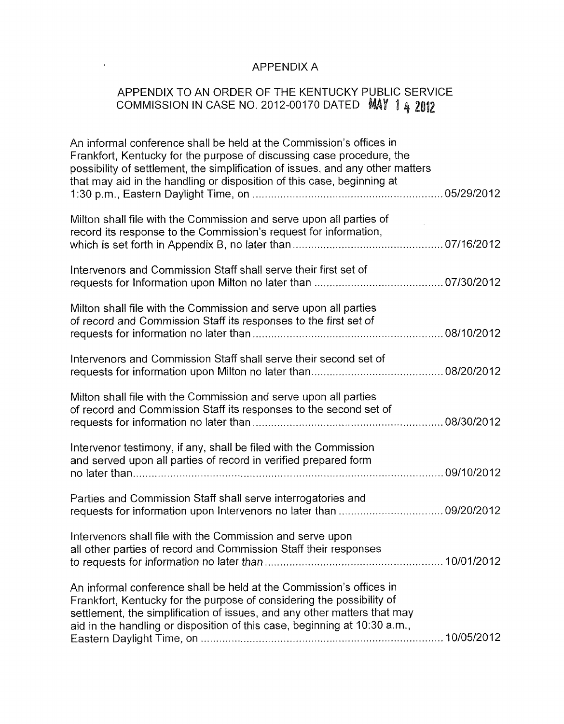# APPENDIX A

 $\mathcal{L}(\mathcal{A})$  . The  $\mathcal{L}(\mathcal{A})$ 

# APPENDIX TO AN ORDER OF THE KENTUCKY PUBLIC SERVICE COMMISSION IN CASE NO. 2012-00170 DATED  $\,$  MAY  $\,$  1  $_{4}$   $^{\prime}_{4}$

| An informal conference shall be held at the Commission's offices in<br>Frankfort, Kentucky for the purpose of discussing case procedure, the<br>possibility of settlement, the simplification of issues, and any other matters<br>that may aid in the handling or disposition of this case, beginning at |  |
|----------------------------------------------------------------------------------------------------------------------------------------------------------------------------------------------------------------------------------------------------------------------------------------------------------|--|
| Milton shall file with the Commission and serve upon all parties of<br>record its response to the Commission's request for information,                                                                                                                                                                  |  |
| Intervenors and Commission Staff shall serve their first set of                                                                                                                                                                                                                                          |  |
| Milton shall file with the Commission and serve upon all parties<br>of record and Commission Staff its responses to the first set of                                                                                                                                                                     |  |
| Intervenors and Commission Staff shall serve their second set of                                                                                                                                                                                                                                         |  |
| Milton shall file with the Commission and serve upon all parties<br>of record and Commission Staff its responses to the second set of                                                                                                                                                                    |  |
| Intervenor testimony, if any, shall be filed with the Commission<br>and served upon all parties of record in verified prepared form                                                                                                                                                                      |  |
| Parties and Commission Staff shall serve interrogatories and                                                                                                                                                                                                                                             |  |
| Intervenors shall file with the Commission and serve upon<br>all other parties of record and Commission Staff their responses                                                                                                                                                                            |  |
| An informal conference shall be held at the Commission's offices in<br>Frankfort, Kentucky for the purpose of considering the possibility of<br>settlement, the simplification of issues, and any other matters that may<br>aid in the handling or disposition of this case, beginning at 10:30 a.m.,    |  |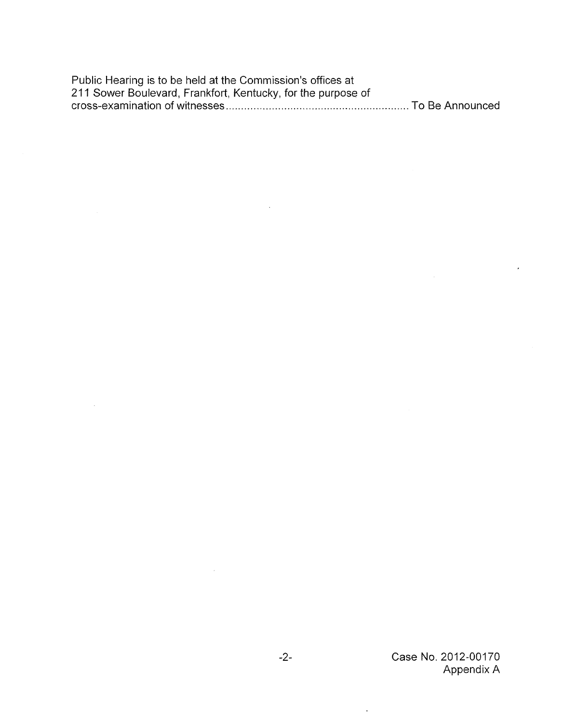Public Hearing is to be held at the Commission's offices at 21 1 Sower Boulevard, Frankfort, Kentucky, for the purpose of cross-examination of witnesses. "., .. . . . . ".. .........".." ".. . . .. . .. . .. . , . , . . ".. . . . . . .. .. . . To Be Announced

 $\sim 10^{10}$  km s  $^{-1}$ 

 $\ddot{\phantom{a}}$ 

 $\bar{\pmb{\cdot}}$ 

 $\hat{\mathcal{A}}$ 

 $\sim$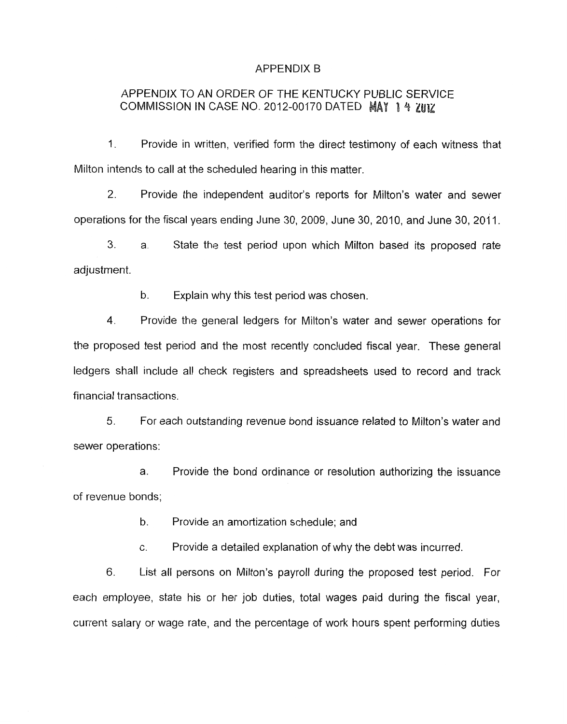#### APPENDIX B

## APPENDIX TO AN ORDER OF THE KENTUCKY PUBLIC SERVICE COMMISSION IN CASE NO. 2012-00170 DATED MAY 14 7HIZ

1. Provide in written, verified form the direct testimony of each witness that Milton intends to call at the scheduled hearing in this matter.

2. Provide the independent auditor's reports for Milton's water and sewer operations for the fiscal years ending June 30, 2009, June 30, 2010, and June 30, 2011.

**3.** a. State the test period upon which Milton based its proposed rate adjustment.

> b. Explain why this test period was chosen.

Provide the general ledgers for Milton's water and sewer operations for the proposed test period and the most recently concluded fiscal year. These general ledgers shall include all check registers and spreadsheets used to record and track 4. financial transactions.

5. For each outstanding revenue bond issuance related to Milton's water and sewer operations:

a. Provide the bond ordinance or resolution authorizing the issuance of revenue bonds;

> b. Provide an amortization schedule; and

c. Provide a detailed explanation of why the debt was incurred.

List all persons on Milton's payroll during the proposed test period. For each employee, state his or her job duties, total wages paid during the fiscal year, current salary or wage rate, and the percentage of work hours spent performing duties 6.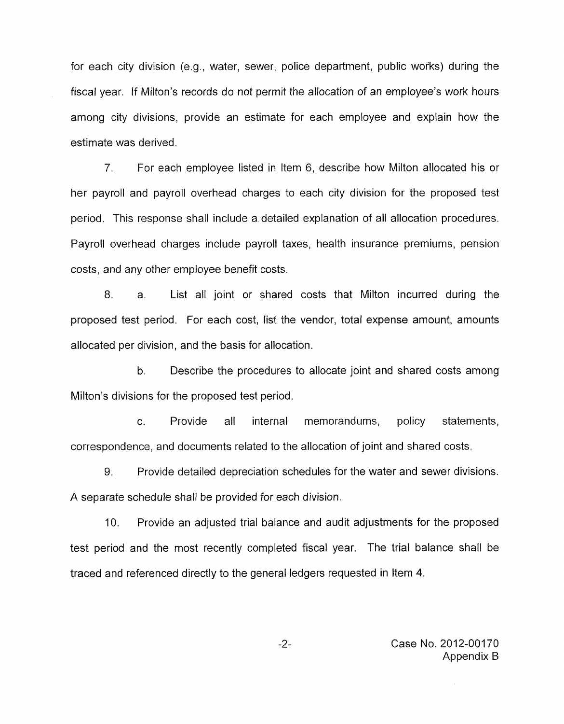for each city division (e.g., water, sewer, police department, public works) during the fiscal year. If Milton's records do not permit the allocation of an employee's work hours among city divisions, provide an estimate for each employee and explain how the estimate was derived.

*7.* For each employee listed in Item 6, describe how Milton allocated his or her payroll and payroll overhead charges to each city division for the proposed test period. This response shall include a detailed explanation of all allocation procedures. Payroll overhead charges include payroll taxes, health insurance premiums, pension costs, and any other employee benefit costs.

8. a. List all joint or shared costs that Milton incurred during the proposed test period. For each cost, list the vendor, total expense amount, amounts allocated per division, and the basis for allocation.

b. Describe the procedures to allocate joint and shared costs among Milton's divisions for the proposed test period.

C. Provide all internal memorandums, policy statements, correspondence, and documents related to the allocation of joint and shared costs.

9. Provide detailed depreciation schedules for the water and sewer divisions. A separate schedule shall be provided for each division.

IO. Provide an adjusted trial balance and audit adjustments for the proposed test period and the most recently completed fiscal year. The trial balance shall be traced and referenced directly to the general ledgers requested in Item **4.** 

> *-2-* Case No. 2012-00170 Appendix B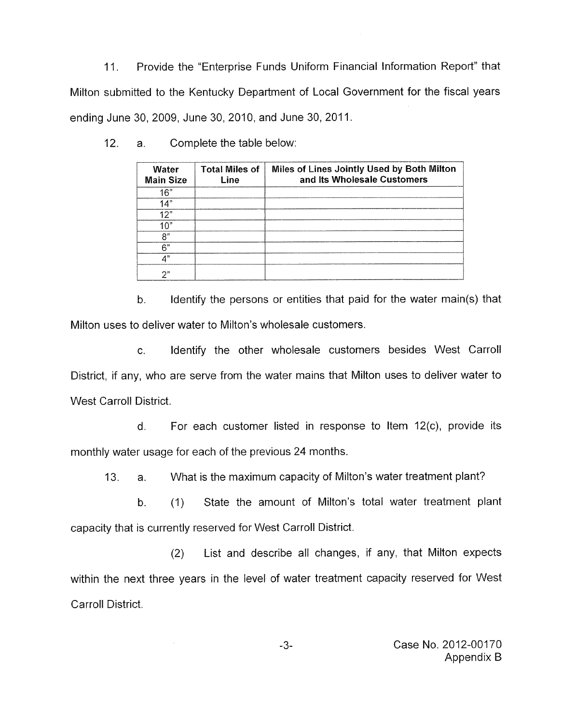11. Provide the "Enterprise Funds Uniform Financial Information Report" that Milton submitted to the Kentucky Department of Local Government for the fiscal years ending June 30, 2009, June 30, 2010, and June 30, 2011.

| Water<br><b>Main Size</b> | <b>Total Miles of</b><br>Line | Miles of Lines Jointly Used by Both Milton<br>and Its Wholesale Customers |
|---------------------------|-------------------------------|---------------------------------------------------------------------------|
| 16"                       |                               |                                                                           |
| 14"                       |                               |                                                                           |
| 12"                       |                               |                                                                           |
| 10"                       |                               |                                                                           |
| 8"                        |                               |                                                                           |
| 6"                        |                               |                                                                           |
| 4"                        |                               |                                                                           |
| 2"                        |                               |                                                                           |

12. a. Complete the table below:

b. Identify the persons or entities that paid for the water main(s) that Milton uses to deliver water to Milton's wholesale customers.

c. Identify the other wholesale customers besides West Carroll District, if any, who are serve from the water mains that Milton uses to deliver water to West Carroll District.

d. For each customer listed in response to Item 12(c), provide its monthly water usage for each of the previous 24 months.

13. a. What is the maximum capacity of Milton's water treatment plant?

b. (I) State the amount of Milton's total water treatment plant capacity that is currently reserved for West Carroll District.

(2) List and describe all changes, if any, that Milton expects within the next three years in the level of water treatment capacity reserved for West Carroll District.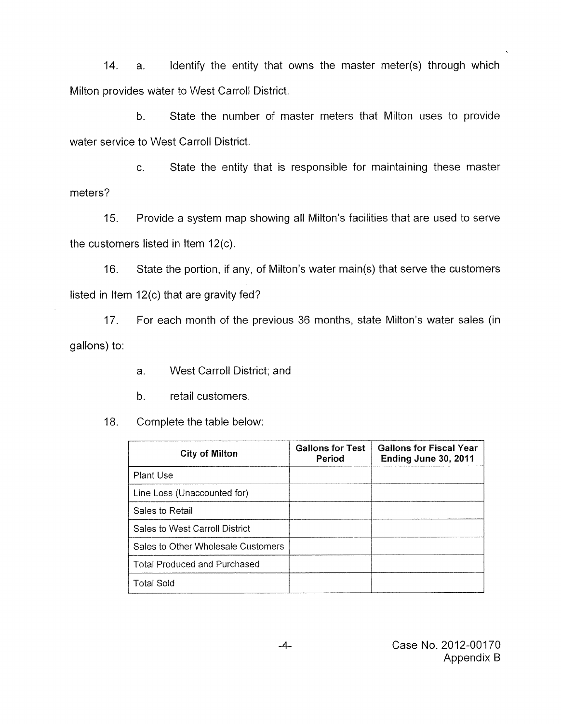14. a. Identify the entity that owns the master meter(s) through which Milton provides water to West Carroll District.

b. State the number of master meters that Milton uses to provide water service to West Carroll District.

c. State the entity that is responsible for maintaining these master meters?

15. Provide a system map showing all Milton's facilities that are used to serve the customers listed in Item 12(c).

16. State the portion, if any, of Milton's water main(s) that serve the customers listed in Item 12(c) that are gravity fed?

17. For each month of the previous 36 months, state Milton's water sales (in gallons) to:

- a. West Carroll District; and
- b. retail customers.

18. Complete the table below:

| <b>City of Milton</b>               | <b>Gallons for Test</b><br>Period | <b>Gallons for Fiscal Year</b><br>Ending June 30, 2011 |
|-------------------------------------|-----------------------------------|--------------------------------------------------------|
| Plant Use                           |                                   |                                                        |
| Line Loss (Unaccounted for)         |                                   |                                                        |
| Sales to Retail                     |                                   |                                                        |
| Sales to West Carroll District      |                                   |                                                        |
| Sales to Other Wholesale Customers  |                                   |                                                        |
| <b>Total Produced and Purchased</b> |                                   |                                                        |
| <b>Total Sold</b>                   |                                   |                                                        |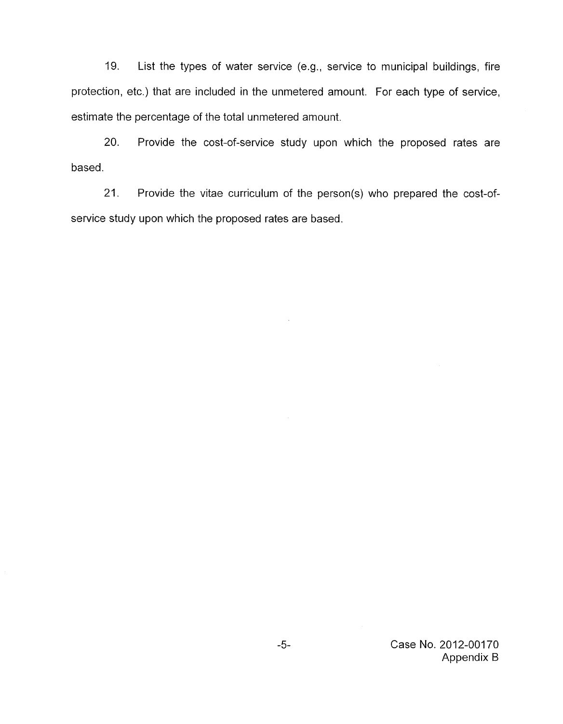19. List the types of water service (e.g., service to municipal buildings, fire protection, etc.) that are included in the unmetered amount. For each type of service, estimate the percentage of the total unmetered amount.

20. Provide the cost-of-service study upon which the proposed rates are based.

21. Provide the vitae curriculum of the person(s) who prepared the cost-ofservice study upon which the proposed rates are based.

> *-5-* Case No. 2012-00170 Appendix **B**